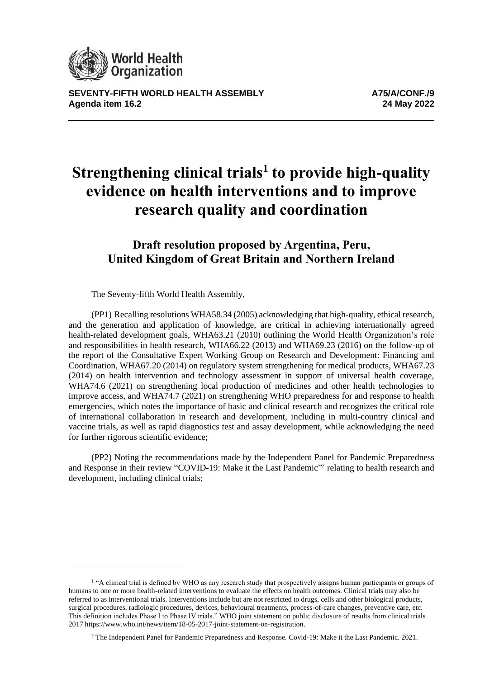

**SEVENTY-FIFTH WORLD HEALTH ASSEMBLY A75/A/CONF./9 Agenda item 16.2 24 May 2022**

## **Strengthening clinical trials<sup>1</sup> to provide high-quality evidence on health interventions and to improve research quality and coordination**

## **Draft resolution proposed by Argentina, Peru, United Kingdom of Great Britain and Northern Ireland**

The Seventy-fifth World Health Assembly,

(PP1) Recalling resolutions WHA58.34 (2005) acknowledging that high-quality, ethical research, and the generation and application of knowledge, are critical in achieving internationally agreed health-related development goals, WHA63.21 (2010) outlining the World Health Organization's role and responsibilities in health research, WHA66.22 (2013) and WHA69.23 (2016) on the follow-up of the report of the Consultative Expert Working Group on Research and Development: Financing and Coordination, WHA67.20 (2014) on regulatory system strengthening for medical products, WHA67.23 (2014) on health intervention and technology assessment in support of universal health coverage, WHA74.6 (2021) on strengthening local production of medicines and other health technologies to improve access, and WHA74.7 (2021) on strengthening WHO preparedness for and response to health emergencies, which notes the importance of basic and clinical research and recognizes the critical role of international collaboration in research and development, including in multi-country clinical and vaccine trials, as well as rapid diagnostics test and assay development, while acknowledging the need for further rigorous scientific evidence;

(PP2) Noting the recommendations made by the Independent Panel for Pandemic Preparedness and Response in their review "COVID-19: Make it the Last Pandemic"<sup>2</sup> relating to health research and development, including clinical trials;

<sup>&</sup>lt;sup>1</sup> "A clinical trial is defined by WHO as any research study that prospectively assigns human participants or groups of humans to one or more health-related interventions to evaluate the effects on health outcomes. Clinical trials may also be referred to as interventional trials. Interventions include but are not restricted to drugs, cells and other biological products, surgical procedures, radiologic procedures, devices, behavioural treatments, process-of-care changes, preventive care, etc. This definition includes Phase I to Phase IV trials." WHO joint statement on public disclosure of results from clinical trials 2017 [https://www.who.int/news/item/18-05-2017-joint-statement-on-registration.](https://eur03.safelinks.protection.outlook.com/?url=https%3A%2F%2Fwww.who.int%2Fnews%2Fitem%2F18-05-2017-joint-statement-on-registration&data=04%7C01%7Cesther.lawrence%40fco.gov.uk%7C815b135c745141f423c808da17d81bb8%7Cd3a2d0d37cc84f52bbf985bd43d94279%7C0%7C0%7C637848514187637728%7CUnknown%7CTWFpbGZsb3d8eyJWIjoiMC4wLjAwMDAiLCJQIjoiV2luMzIiLCJBTiI6Ik1haWwiLCJXVCI6Mn0%3D%7C3000&sdata=MGTiDmLrI9RDqgA6g6u6yWAIJMFKPsH4an6wl%2FniCeE%3D&reserved=0)

<sup>2</sup> The Independent Panel for Pandemic Preparedness and Response. [Covid-19: Make it the Last Pandemic.](https://theindependentpanel.org/wp-content/uploads/2021/05/COVID-19-Make-it-the-Last-Pandemic_final.pdf) 2021.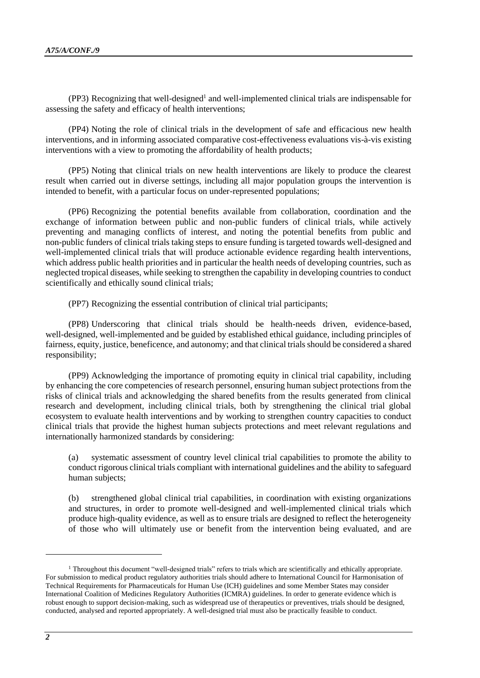(PP3) Recognizing that well-designed<sup>1</sup> and well-implemented clinical trials are indispensable for assessing the safety and efficacy of health interventions;

(PP4) Noting the role of clinical trials in the development of safe and efficacious new health interventions, and in informing associated comparative cost-effectiveness evaluations vis-à-vis existing interventions with a view to promoting the affordability of health products;

(PP5) Noting that clinical trials on new health interventions are likely to produce the clearest result when carried out in diverse settings, including all major population groups the intervention is intended to benefit, with a particular focus on under-represented populations;

(PP6) Recognizing the potential benefits available from collaboration, coordination and the exchange of information between public and non-public funders of clinical trials, while actively preventing and managing conflicts of interest, and noting the potential benefits from public and non-public funders of clinical trials taking steps to ensure funding is targeted towards well-designed and well-implemented clinical trials that will produce actionable evidence regarding health interventions, which address public health priorities and in particular the health needs of developing countries, such as neglected tropical diseases, while seeking to strengthen the capability in developing countries to conduct scientifically and ethically sound clinical trials;

(PP7) Recognizing the essential contribution of clinical trial participants;

(PP8) Underscoring that clinical trials should be health-needs driven, evidence-based, well-designed, well-implemented and be guided by established ethical guidance, including principles of fairness, equity, justice, beneficence, and autonomy; and that clinical trials should be considered a shared responsibility;

(PP9) Acknowledging the importance of promoting equity in clinical trial capability, including by enhancing the core competencies of research personnel, ensuring human subject protections from the risks of clinical trials and acknowledging the shared benefits from the results generated from clinical research and development, including clinical trials, both by strengthening the clinical trial global ecosystem to evaluate health interventions and by working to strengthen country capacities to conduct clinical trials that provide the highest human subjects protections and meet relevant regulations and internationally harmonized standards by considering:

(a) systematic assessment of country level clinical trial capabilities to promote the ability to conduct rigorous clinical trials compliant with international guidelines and the ability to safeguard human subjects;

(b) strengthened global clinical trial capabilities, in coordination with existing organizations and structures, in order to promote well-designed and well-implemented clinical trials which produce high-quality evidence, as well as to ensure trials are designed to reflect the heterogeneity of those who will ultimately use or benefit from the intervention being evaluated, and are

 $1$  Throughout this document "well-designed trials" refers to trials which ar[e scientifically](https://www.spirit-statement.org/) an[d ethically](https://cioms.ch/wp-content/uploads/2017/01/WEB-CIOMS-EthicalGuidelines.pdf) appropriate. For submission to medical product regulatory authorities trials should adhere to International Council for Harmonisation of Technical Requirements for Pharmaceuticals for Human Use (ICH) guidelines and some Member States may consider International Coalition of Medicines Regulatory Authorities (ICMRA) guidelines. In order to generate evidence which is robust enough to support decision-making, such as widespread use of therapeutics or preventives, trials should b[e designed,](http://www.consort-statement.org/)  [conducted, analysed and reported appropriately.](http://www.consort-statement.org/) A well-designed trial must also be practically feasible to conduct.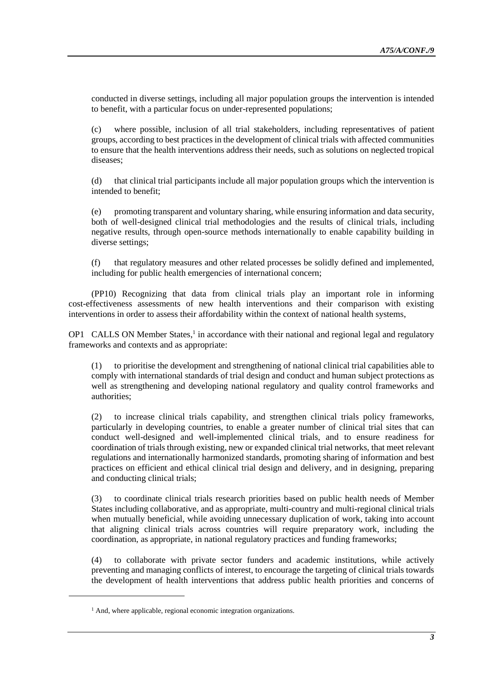conducted in diverse settings, including all major population groups the intervention is intended to benefit, with a particular focus on under-represented populations;

(c) where possible, inclusion of all trial stakeholders, including representatives of patient groups, according to best practices in the development of clinical trials with affected communities to ensure that the health interventions address their needs, such as solutions on neglected tropical diseases;

(d) that clinical trial participants include all major population groups which the intervention is intended to benefit;

(e) promoting transparent and voluntary sharing, while ensuring information and data security, both of well-designed clinical trial methodologies and the results of clinical trials, including negative results, through open-source methods internationally to enable capability building in diverse settings;

(f) that regulatory measures and other related processes be solidly defined and implemented, including for public health emergencies of international concern;

(PP10) Recognizing that data from clinical trials play an important role in informing cost-effectiveness assessments of new health interventions and their comparison with existing interventions in order to assess their affordability within the context of national health systems,

OP1 CALLS ON Member States,<sup>1</sup> in accordance with their national and regional legal and regulatory frameworks and contexts and as appropriate:

(1) to prioritise the development and strengthening of national clinical trial capabilities able to comply with international standards of trial design and conduct and human subject protections as well as strengthening and developing national regulatory and quality control frameworks and authorities;

(2) to increase clinical trials capability, and strengthen clinical trials policy frameworks, particularly in developing countries, to enable a greater number of clinical trial sites that can conduct well-designed and well-implemented clinical trials, and to ensure readiness for coordination of trials through existing, new or expanded clinical trial networks, that meet relevant regulations and internationally harmonized standards, promoting sharing of information and best practices on efficient and ethical clinical trial design and delivery, and in designing, preparing and conducting clinical trials;

(3) to coordinate clinical trials research priorities based on public health needs of Member States including collaborative, and as appropriate, multi-country and multi-regional clinical trials when mutually beneficial, while avoiding unnecessary duplication of work, taking into account that aligning clinical trials across countries will require preparatory work, including the coordination, as appropriate, in national regulatory practices and funding frameworks;

(4) to collaborate with private sector funders and academic institutions, while actively preventing and managing conflicts of interest, to encourage the targeting of clinical trials towards the development of health interventions that address public health priorities and concerns of

<sup>&</sup>lt;sup>1</sup> And, where applicable, regional economic integration organizations.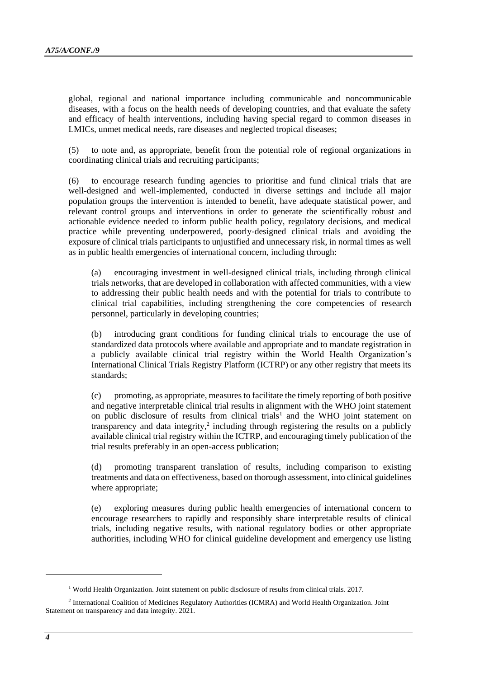global, regional and national importance including communicable and noncommunicable diseases, with a focus on the health needs of developing countries, and that evaluate the safety and efficacy of health interventions, including having special regard to common diseases in LMICs, unmet medical needs, rare diseases and neglected tropical diseases;

(5) to note and, as appropriate, benefit from the potential role of regional organizations in coordinating clinical trials and recruiting participants;

(6) to encourage research funding agencies to prioritise and fund clinical trials that are well-designed and well-implemented, conducted in diverse settings and include all major population groups the intervention is intended to benefit, have adequate statistical power, and relevant control groups and interventions in order to generate the scientifically robust and actionable evidence needed to inform public health policy, regulatory decisions, and medical practice while preventing underpowered, poorly-designed clinical trials and avoiding the exposure of clinical trials participants to unjustified and unnecessary risk, in normal times as well as in public health emergencies of international concern, including through:

(a) encouraging investment in well-designed clinical trials, including through clinical trials networks, that are developed in collaboration with affected communities, with a view to addressing their public health needs and with the potential for trials to contribute to clinical trial capabilities, including strengthening the core competencies of research personnel, particularly in developing countries;

(b) introducing grant conditions for funding clinical trials to encourage the use of standardized data protocols where available and appropriate and to mandate registration in a publicly available clinical trial registry within the World Health Organization's International Clinical Trials Registry Platform (ICTRP) or any other registry that meets its standards;

(c) promoting, as appropriate, measures to facilitate the timely reporting of both positive and negative interpretable clinical trial results in alignment with the WHO joint statement on public disclosure of results from clinical trials<sup>1</sup> and the WHO joint statement on transparency and data integrity,<sup>2</sup> including through registering the results on a publicly available clinical trial registry within the ICTRP, and encouraging timely publication of the trial results preferably in an open-access publication;

(d) promoting transparent translation of results, including comparison to existing treatments and data on effectiveness, based on thorough assessment, into clinical guidelines where appropriate;

(e) exploring measures during public health emergencies of international concern to encourage researchers to rapidly and responsibly share interpretable results of clinical trials, including negative results, with national regulatory bodies or other appropriate authorities, including WHO for clinical guideline development and emergency use listing

<sup>1</sup> World Health Organization. [Joint statement on public disclosure of results from clinical trials.](https://www.who.int/news/item/18-05-2017-joint-statement-on-registration) 2017.

<sup>&</sup>lt;sup>2</sup> International Coalition of Medicines Regulatory Authorities (ICMRA) and World Health Organization. Joint [Statement on transparency and data integrity.](https://www.who.int/news/item/07-05-2021-joint-statement-on-transparency-and-data-integrityinternational-coalition-of-medicines-regulatory-authorities-(icmra)-and-who) 2021.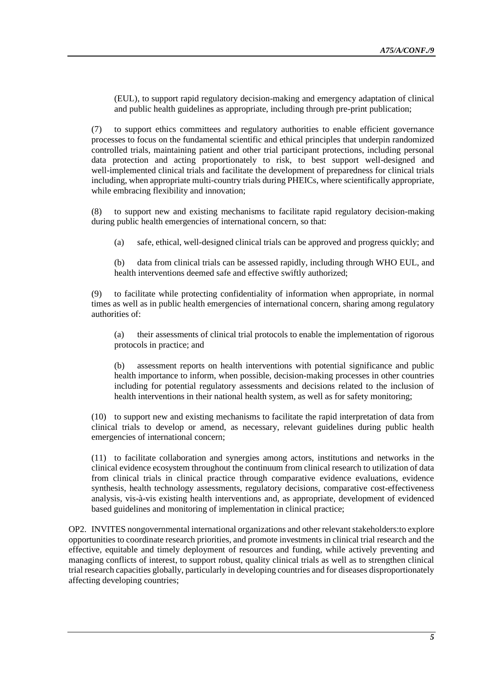(EUL), to support rapid regulatory decision-making and emergency adaptation of clinical and public health guidelines as appropriate, including through pre-print publication;

(7) to support ethics committees and regulatory authorities to enable efficient governance processes to focus on the fundamental scientific and ethical principles that underpin randomized controlled trials, maintaining patient and other trial participant protections, including personal data protection and acting proportionately to risk, to best support well-designed and well-implemented clinical trials and facilitate the development of preparedness for clinical trials including, when appropriate multi-country trials during PHEICs, where scientifically appropriate, while embracing flexibility and innovation;

(8) to support new and existing mechanisms to facilitate rapid regulatory decision-making during public health emergencies of international concern, so that:

(a) safe, ethical, well-designed clinical trials can be approved and progress quickly; and

(b) data from clinical trials can be assessed rapidly, including through WHO EUL, and health interventions deemed safe and effective swiftly authorized;

(9) to facilitate while protecting confidentiality of information when appropriate, in normal times as well as in public health emergencies of international concern, sharing among regulatory authorities of:

(a) their assessments of clinical trial protocols to enable the implementation of rigorous protocols in practice; and

(b) assessment reports on health interventions with potential significance and public health importance to inform, when possible, decision-making processes in other countries including for potential regulatory assessments and decisions related to the inclusion of health interventions in their national health system, as well as for safety monitoring;

(10) to support new and existing mechanisms to facilitate the rapid interpretation of data from clinical trials to develop or amend, as necessary, relevant guidelines during public health emergencies of international concern;

(11) to facilitate collaboration and synergies among actors, institutions and networks in the clinical evidence ecosystem throughout the continuum from clinical research to utilization of data from clinical trials in clinical practice through comparative evidence evaluations, evidence synthesis, health technology assessments, regulatory decisions, comparative cost-effectiveness analysis, vis-à-vis existing health interventions and, as appropriate, development of evidenced based guidelines and monitoring of implementation in clinical practice;

OP2. INVITES nongovernmental international organizations and other relevant stakeholders:to explore opportunities to coordinate research priorities, and promote investments in clinical trial research and the effective, equitable and timely deployment of resources and funding, while actively preventing and managing conflicts of interest, to support robust, quality clinical trials as well as to strengthen clinical trial research capacities globally, particularly in developing countries and for diseases disproportionately affecting developing countries;